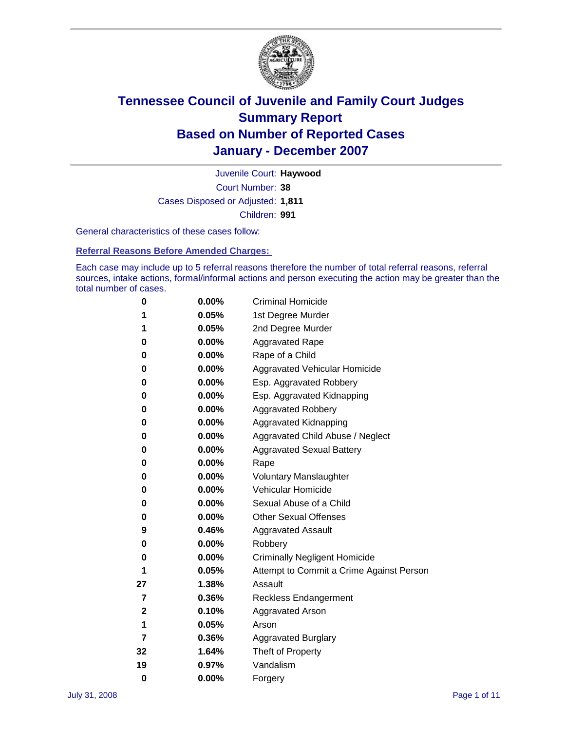

Court Number: **38** Juvenile Court: **Haywood** Cases Disposed or Adjusted: **1,811** Children: **991**

General characteristics of these cases follow:

**Referral Reasons Before Amended Charges:** 

Each case may include up to 5 referral reasons therefore the number of total referral reasons, referral sources, intake actions, formal/informal actions and person executing the action may be greater than the total number of cases.

| 0  | 0.00%    | <b>Criminal Homicide</b>                 |
|----|----------|------------------------------------------|
| 1  | 0.05%    | 1st Degree Murder                        |
| 1  | 0.05%    | 2nd Degree Murder                        |
| 0  | 0.00%    | <b>Aggravated Rape</b>                   |
| 0  | 0.00%    | Rape of a Child                          |
| 0  | 0.00%    | Aggravated Vehicular Homicide            |
| 0  | 0.00%    | Esp. Aggravated Robbery                  |
| 0  | $0.00\%$ | Esp. Aggravated Kidnapping               |
| 0  | 0.00%    | <b>Aggravated Robbery</b>                |
| 0  | 0.00%    | Aggravated Kidnapping                    |
| 0  | 0.00%    | Aggravated Child Abuse / Neglect         |
| 0  | 0.00%    | <b>Aggravated Sexual Battery</b>         |
| 0  | 0.00%    | Rape                                     |
| 0  | 0.00%    | <b>Voluntary Manslaughter</b>            |
| 0  | 0.00%    | Vehicular Homicide                       |
| 0  | $0.00\%$ | Sexual Abuse of a Child                  |
| 0  | 0.00%    | <b>Other Sexual Offenses</b>             |
| 9  | 0.46%    | <b>Aggravated Assault</b>                |
| 0  | 0.00%    | Robbery                                  |
| 0  | 0.00%    | <b>Criminally Negligent Homicide</b>     |
| 1  | 0.05%    | Attempt to Commit a Crime Against Person |
| 27 | 1.38%    | Assault                                  |
| 7  | 0.36%    | <b>Reckless Endangerment</b>             |
| 2  | 0.10%    | <b>Aggravated Arson</b>                  |
| 1  | 0.05%    | Arson                                    |
| 7  | 0.36%    | <b>Aggravated Burglary</b>               |
| 32 | 1.64%    | Theft of Property                        |
| 19 | 0.97%    | Vandalism                                |
| 0  | 0.00%    | Forgery                                  |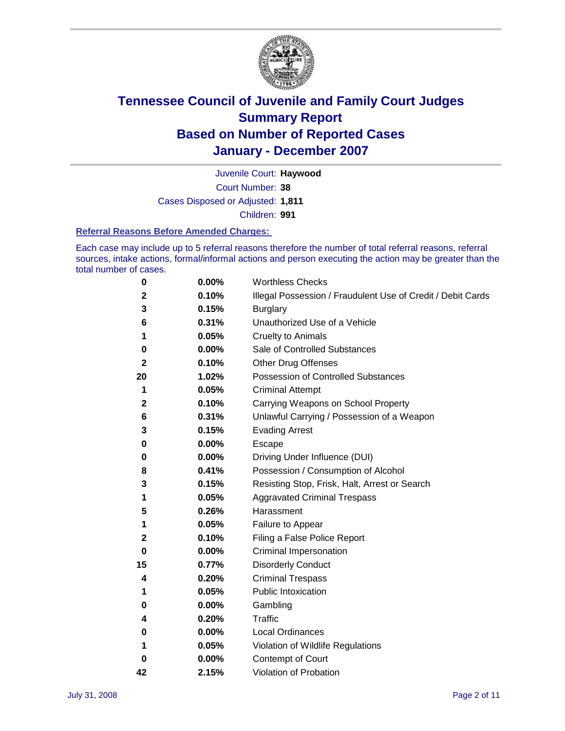

Court Number: **38** Juvenile Court: **Haywood** Cases Disposed or Adjusted: **1,811** Children: **991**

#### **Referral Reasons Before Amended Charges:**

Each case may include up to 5 referral reasons therefore the number of total referral reasons, referral sources, intake actions, formal/informal actions and person executing the action may be greater than the total number of cases.

| $\boldsymbol{0}$ | 0.00% | <b>Worthless Checks</b>                                     |
|------------------|-------|-------------------------------------------------------------|
| $\mathbf{2}$     | 0.10% | Illegal Possession / Fraudulent Use of Credit / Debit Cards |
| 3                | 0.15% | <b>Burglary</b>                                             |
| 6                | 0.31% | Unauthorized Use of a Vehicle                               |
| 1                | 0.05% | <b>Cruelty to Animals</b>                                   |
| 0                | 0.00% | Sale of Controlled Substances                               |
| $\mathbf{2}$     | 0.10% | <b>Other Drug Offenses</b>                                  |
| 20               | 1.02% | <b>Possession of Controlled Substances</b>                  |
| 1                | 0.05% | <b>Criminal Attempt</b>                                     |
| 2                | 0.10% | Carrying Weapons on School Property                         |
| 6                | 0.31% | Unlawful Carrying / Possession of a Weapon                  |
| 3                | 0.15% | <b>Evading Arrest</b>                                       |
| 0                | 0.00% | Escape                                                      |
| 0                | 0.00% | Driving Under Influence (DUI)                               |
| 8                | 0.41% | Possession / Consumption of Alcohol                         |
| 3                | 0.15% | Resisting Stop, Frisk, Halt, Arrest or Search               |
| 1                | 0.05% | <b>Aggravated Criminal Trespass</b>                         |
| 5                | 0.26% | Harassment                                                  |
| 1                | 0.05% | Failure to Appear                                           |
| 2                | 0.10% | Filing a False Police Report                                |
| 0                | 0.00% | Criminal Impersonation                                      |
| 15               | 0.77% | <b>Disorderly Conduct</b>                                   |
| 4                | 0.20% | <b>Criminal Trespass</b>                                    |
| 1                | 0.05% | <b>Public Intoxication</b>                                  |
| 0                | 0.00% | Gambling                                                    |
| 4                | 0.20% | <b>Traffic</b>                                              |
| 0                | 0.00% | Local Ordinances                                            |
| 1                | 0.05% | Violation of Wildlife Regulations                           |
| 0                | 0.00% | Contempt of Court                                           |
| 42               | 2.15% | Violation of Probation                                      |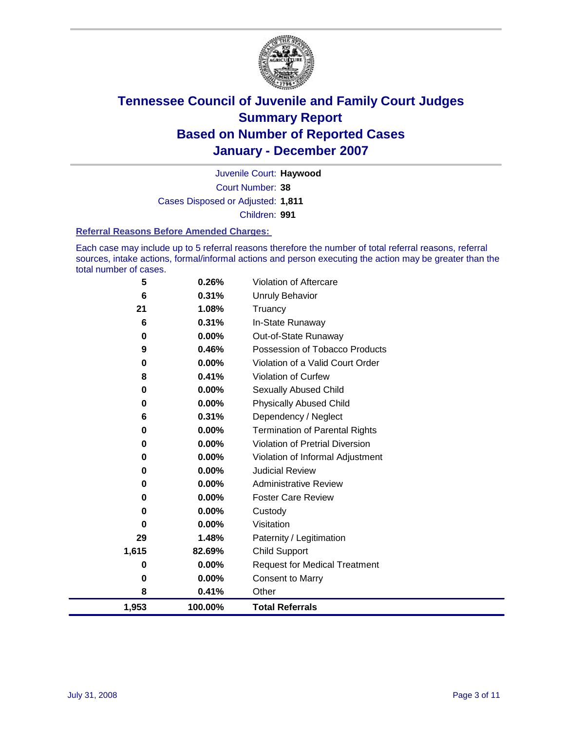

Court Number: **38** Juvenile Court: **Haywood** Cases Disposed or Adjusted: **1,811** Children: **991**

#### **Referral Reasons Before Amended Charges:**

Each case may include up to 5 referral reasons therefore the number of total referral reasons, referral sources, intake actions, formal/informal actions and person executing the action may be greater than the total number of cases.

| 5        | 0.26%    | Violation of Aftercare                 |
|----------|----------|----------------------------------------|
| 6        | 0.31%    | Unruly Behavior                        |
| 21       | 1.08%    | Truancy                                |
| 6        | 0.31%    | In-State Runaway                       |
| $\bf{0}$ | 0.00%    | Out-of-State Runaway                   |
| 9        | 0.46%    | Possession of Tobacco Products         |
| 0        | 0.00%    | Violation of a Valid Court Order       |
| 8        | 0.41%    | Violation of Curfew                    |
| 0        | 0.00%    | Sexually Abused Child                  |
| 0        | 0.00%    | <b>Physically Abused Child</b>         |
| 6        | 0.31%    | Dependency / Neglect                   |
| 0        | $0.00\%$ | <b>Termination of Parental Rights</b>  |
| 0        | $0.00\%$ | <b>Violation of Pretrial Diversion</b> |
| 0        | $0.00\%$ | Violation of Informal Adjustment       |
| 0        | 0.00%    | <b>Judicial Review</b>                 |
| 0        | 0.00%    | <b>Administrative Review</b>           |
| 0        | $0.00\%$ | <b>Foster Care Review</b>              |
| 0        | $0.00\%$ | Custody                                |
| 0        | 0.00%    | Visitation                             |
| 29       | 1.48%    | Paternity / Legitimation               |
| 1,615    | 82.69%   | <b>Child Support</b>                   |
| 0        | 0.00%    | <b>Request for Medical Treatment</b>   |
| 0        | 0.00%    | <b>Consent to Marry</b>                |
| 8        | 0.41%    | Other                                  |
| 1,953    | 100.00%  | <b>Total Referrals</b>                 |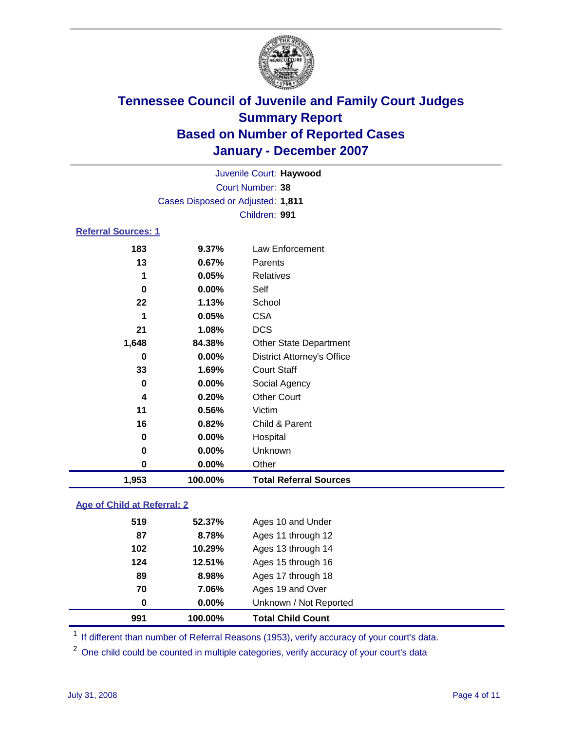

| Juvenile Court: Haywood    |                                   |                                   |  |  |
|----------------------------|-----------------------------------|-----------------------------------|--|--|
| Court Number: 38           |                                   |                                   |  |  |
|                            | Cases Disposed or Adjusted: 1,811 |                                   |  |  |
|                            |                                   | Children: 991                     |  |  |
| <b>Referral Sources: 1</b> |                                   |                                   |  |  |
| 183                        | 9.37%                             | Law Enforcement                   |  |  |
| 13                         | 0.67%                             | Parents                           |  |  |
| 1                          | 0.05%                             | Relatives                         |  |  |
| 0                          | $0.00\%$                          | Self                              |  |  |
| 22                         | 1.13%                             | School                            |  |  |
| 1                          | 0.05%                             | <b>CSA</b>                        |  |  |
| 21                         | 1.08%                             | <b>DCS</b>                        |  |  |
| 1,648                      | 84.38%                            | <b>Other State Department</b>     |  |  |
| 0                          | $0.00\%$                          | <b>District Attorney's Office</b> |  |  |
| 33                         | 1.69%                             | <b>Court Staff</b>                |  |  |
| $\bf{0}$                   | 0.00%                             | Social Agency                     |  |  |
| 4                          | 0.20%                             | <b>Other Court</b>                |  |  |
| 11                         | 0.56%                             | Victim                            |  |  |
| 16                         | 0.82%                             | Child & Parent                    |  |  |
| 0                          | $0.00\%$                          | Hospital                          |  |  |
| 0                          | $0.00\%$                          | Unknown                           |  |  |
| 0                          | 0.00%                             | Other                             |  |  |
| 1,953                      | 100.00%                           | <b>Total Referral Sources</b>     |  |  |

### **Age of Child at Referral: 2**

|     | 100.00% | <b>Total Child Count</b> |  |
|-----|---------|--------------------------|--|
| 0   | 0.00%   | Unknown / Not Reported   |  |
| 70  | 7.06%   | Ages 19 and Over         |  |
| 89  | 8.98%   | Ages 17 through 18       |  |
| 124 | 12.51%  | Ages 15 through 16       |  |
| 102 | 10.29%  | Ages 13 through 14       |  |
| 87  | 8.78%   | Ages 11 through 12       |  |
| 519 | 52.37%  | Ages 10 and Under        |  |
|     | 991     |                          |  |

<sup>1</sup> If different than number of Referral Reasons (1953), verify accuracy of your court's data.

One child could be counted in multiple categories, verify accuracy of your court's data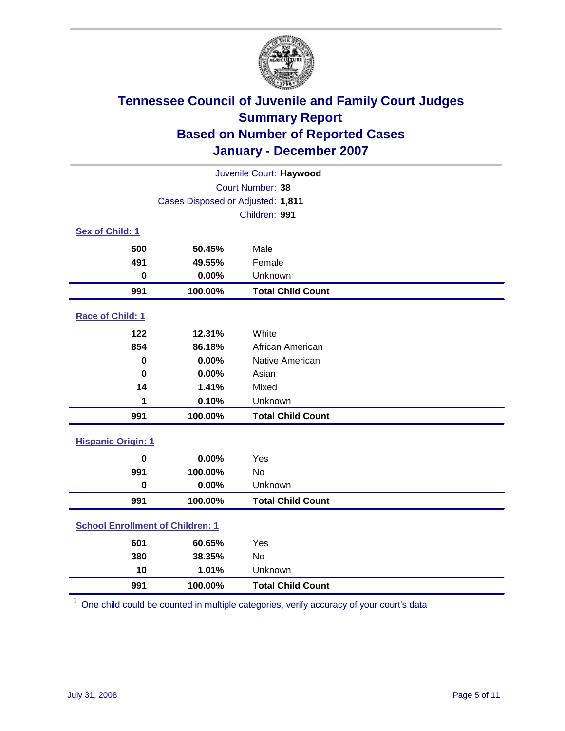

| Juvenile Court: Haywood                 |                                   |                          |  |  |  |
|-----------------------------------------|-----------------------------------|--------------------------|--|--|--|
|                                         | Court Number: 38                  |                          |  |  |  |
|                                         | Cases Disposed or Adjusted: 1,811 |                          |  |  |  |
|                                         |                                   | Children: 991            |  |  |  |
| Sex of Child: 1                         |                                   |                          |  |  |  |
| 500                                     | 50.45%                            | Male                     |  |  |  |
| 491                                     | 49.55%                            | Female                   |  |  |  |
| $\bf{0}$                                | 0.00%                             | Unknown                  |  |  |  |
| 991                                     | 100.00%                           | <b>Total Child Count</b> |  |  |  |
| Race of Child: 1                        |                                   |                          |  |  |  |
| 122                                     | 12.31%                            | White                    |  |  |  |
| 854                                     | 86.18%                            | African American         |  |  |  |
| 0                                       | 0.00%                             | Native American          |  |  |  |
| $\bf{0}$                                | 0.00%                             | Asian                    |  |  |  |
| 14                                      | 1.41%                             | Mixed                    |  |  |  |
| 1                                       | 0.10%                             | Unknown                  |  |  |  |
| 991                                     | 100.00%                           | <b>Total Child Count</b> |  |  |  |
| <b>Hispanic Origin: 1</b>               |                                   |                          |  |  |  |
| $\mathbf 0$                             | 0.00%                             | Yes                      |  |  |  |
| 991                                     | 100.00%                           | <b>No</b>                |  |  |  |
| $\mathbf 0$                             | 0.00%                             | Unknown                  |  |  |  |
| 991                                     | 100.00%                           | <b>Total Child Count</b> |  |  |  |
| <b>School Enrollment of Children: 1</b> |                                   |                          |  |  |  |
| 601                                     | 60.65%                            | Yes                      |  |  |  |
| 380                                     | 38.35%                            | No                       |  |  |  |
| 10                                      | 1.01%                             | Unknown                  |  |  |  |
| 991                                     | 100.00%                           | <b>Total Child Count</b> |  |  |  |

One child could be counted in multiple categories, verify accuracy of your court's data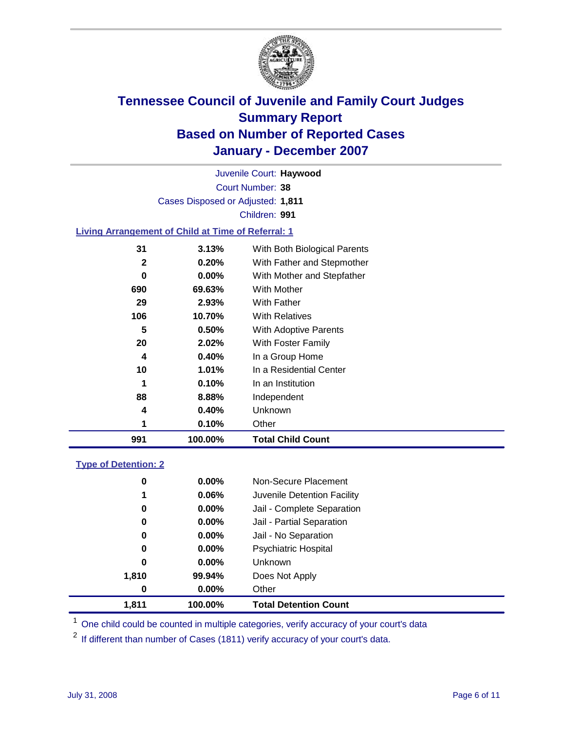

Court Number: **38** Juvenile Court: **Haywood** Cases Disposed or Adjusted: **1,811** Children: **991**

#### **Living Arrangement of Child at Time of Referral: 1**

| 991 | 100.00%  | <b>Total Child Count</b>     |
|-----|----------|------------------------------|
| 1   | 0.10%    | Other                        |
| 4   | 0.40%    | Unknown                      |
| 88  | 8.88%    | Independent                  |
| 1   | 0.10%    | In an Institution            |
| 10  | $1.01\%$ | In a Residential Center      |
| 4   | 0.40%    | In a Group Home              |
| 20  | 2.02%    | With Foster Family           |
| 5   | 0.50%    | With Adoptive Parents        |
| 106 | 10.70%   | <b>With Relatives</b>        |
| 29  | 2.93%    | <b>With Father</b>           |
| 690 | 69.63%   | With Mother                  |
| 0   | $0.00\%$ | With Mother and Stepfather   |
| 2   | 0.20%    | With Father and Stepmother   |
| 31  | 3.13%    | With Both Biological Parents |
|     |          |                              |

#### **Type of Detention: 2**

| 1,811 | 100.00%  | <b>Total Detention Count</b> |  |
|-------|----------|------------------------------|--|
| 0     | 0.00%    | Other                        |  |
| 1,810 | 99.94%   | Does Not Apply               |  |
| 0     | 0.00%    | <b>Unknown</b>               |  |
| 0     | 0.00%    | <b>Psychiatric Hospital</b>  |  |
| 0     | 0.00%    | Jail - No Separation         |  |
| 0     | $0.00\%$ | Jail - Partial Separation    |  |
| 0     | 0.00%    | Jail - Complete Separation   |  |
| 1     | 0.06%    | Juvenile Detention Facility  |  |
| 0     | 0.00%    | Non-Secure Placement         |  |
|       |          |                              |  |

<sup>1</sup> One child could be counted in multiple categories, verify accuracy of your court's data

<sup>2</sup> If different than number of Cases (1811) verify accuracy of your court's data.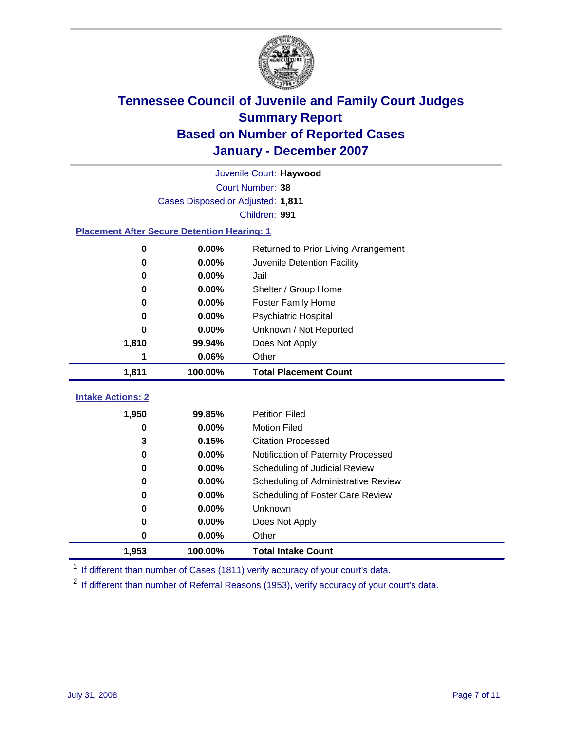

|                                                    |                                   | Juvenile Court: Haywood              |
|----------------------------------------------------|-----------------------------------|--------------------------------------|
|                                                    |                                   | Court Number: 38                     |
|                                                    | Cases Disposed or Adjusted: 1,811 |                                      |
|                                                    |                                   | Children: 991                        |
| <b>Placement After Secure Detention Hearing: 1</b> |                                   |                                      |
| 0                                                  | $0.00\%$                          | Returned to Prior Living Arrangement |
| 0                                                  | 0.00%                             | Juvenile Detention Facility          |
| 0                                                  | 0.00%                             | Jail                                 |
| 0                                                  | 0.00%                             | Shelter / Group Home                 |
| 0                                                  | 0.00%                             | <b>Foster Family Home</b>            |
| 0                                                  | 0.00%                             | Psychiatric Hospital                 |
| 0                                                  | 0.00%                             | Unknown / Not Reported               |
| 1,810                                              | 99.94%                            | Does Not Apply                       |
| 1                                                  | 0.06%                             | Other                                |
| 1,811                                              | 100.00%                           | <b>Total Placement Count</b>         |
|                                                    |                                   |                                      |
| <b>Intake Actions: 2</b>                           |                                   |                                      |
| 1,950                                              | 99.85%                            | <b>Petition Filed</b>                |
| 0                                                  | 0.00%                             | <b>Motion Filed</b>                  |
| 3                                                  | 0.15%                             | <b>Citation Processed</b>            |
| 0                                                  | 0.00%                             | Notification of Paternity Processed  |
| 0                                                  | 0.00%                             | Scheduling of Judicial Review        |
| 0                                                  | 0.00%                             | Scheduling of Administrative Review  |
| 0                                                  | 0.00%                             | Scheduling of Foster Care Review     |
| 0                                                  | 0.00%                             | Unknown                              |
| 0                                                  | 0.00%                             | Does Not Apply                       |
| 0                                                  | 0.00%                             | Other                                |
| 1,953                                              | 100.00%                           | <b>Total Intake Count</b>            |

<sup>1</sup> If different than number of Cases (1811) verify accuracy of your court's data.

<sup>2</sup> If different than number of Referral Reasons (1953), verify accuracy of your court's data.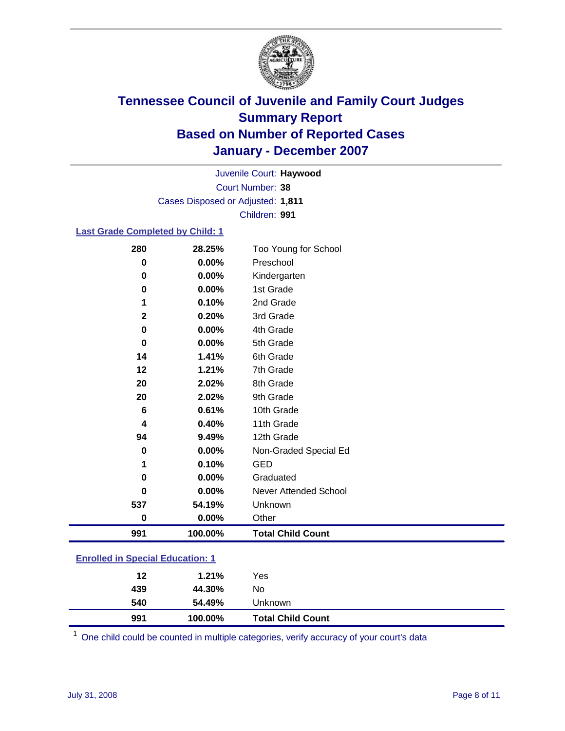

Court Number: **38** Juvenile Court: **Haywood** Cases Disposed or Adjusted: **1,811** Children: **991**

#### **Last Grade Completed by Child: 1**

| 280          | 28.25%  | Too Young for School     |
|--------------|---------|--------------------------|
| 0            | 0.00%   | Preschool                |
| 0            | 0.00%   | Kindergarten             |
| 0            | 0.00%   | 1st Grade                |
|              | 0.10%   | 2nd Grade                |
| $\mathbf{2}$ | 0.20%   | 3rd Grade                |
| $\bf{0}$     | 0.00%   | 4th Grade                |
| $\bf{0}$     | 0.00%   | 5th Grade                |
| 14           | 1.41%   | 6th Grade                |
| 12           | 1.21%   | 7th Grade                |
| 20           | 2.02%   | 8th Grade                |
| 20           | 2.02%   | 9th Grade                |
| $\bf 6$      | 0.61%   | 10th Grade               |
| 4            | 0.40%   | 11th Grade               |
| 94           | 9.49%   | 12th Grade               |
| $\bf{0}$     | 0.00%   | Non-Graded Special Ed    |
| 1            | 0.10%   | <b>GED</b>               |
| 0            | 0.00%   | Graduated                |
| 0            | 0.00%   | Never Attended School    |
| 537          | 54.19%  | Unknown                  |
| $\bf{0}$     | 0.00%   | Other                    |
| 991          | 100.00% | <b>Total Child Count</b> |

### **Enrolled in Special Education: 1**

| 991 | 100.00% | <b>Total Child Count</b> |  |
|-----|---------|--------------------------|--|
| 540 | 54.49%  | Unknown                  |  |
| 439 | 44.30%  | No                       |  |
| 12  | 1.21%   | Yes                      |  |
|     |         |                          |  |

<sup>1</sup> One child could be counted in multiple categories, verify accuracy of your court's data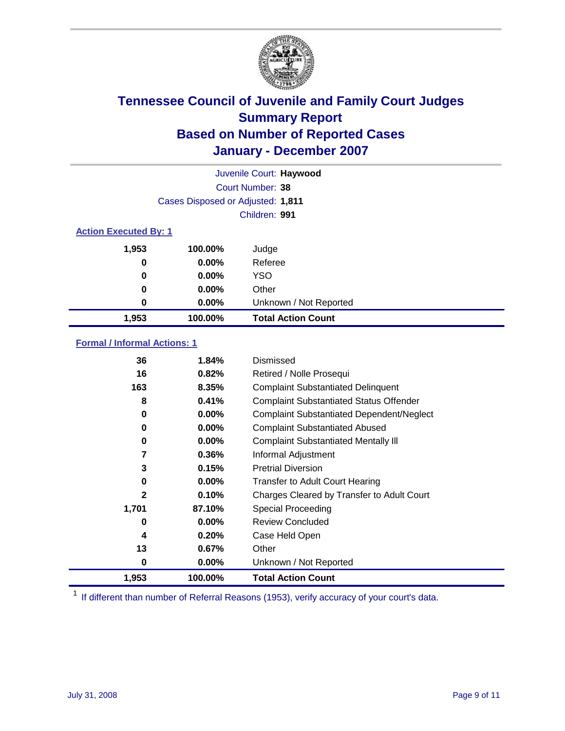

|                              |                                   | Juvenile Court: Haywood   |  |  |  |
|------------------------------|-----------------------------------|---------------------------|--|--|--|
|                              |                                   | Court Number: 38          |  |  |  |
|                              | Cases Disposed or Adjusted: 1,811 |                           |  |  |  |
|                              | Children: 991                     |                           |  |  |  |
| <b>Action Executed By: 1</b> |                                   |                           |  |  |  |
| 1,953                        | 100.00%                           | Judge                     |  |  |  |
| 0                            | $0.00\%$                          | Referee                   |  |  |  |
| 0                            | $0.00\%$                          | <b>YSO</b>                |  |  |  |
| 0                            | 0.00%                             | Other                     |  |  |  |
| 0                            | 0.00%                             | Unknown / Not Reported    |  |  |  |
| 1,953                        | 100.00%                           | <b>Total Action Count</b> |  |  |  |

### **Formal / Informal Actions: 1**

| 36    | 1.84%    | Dismissed                                        |
|-------|----------|--------------------------------------------------|
| 16    | 0.82%    | Retired / Nolle Prosequi                         |
| 163   | 8.35%    | <b>Complaint Substantiated Delinquent</b>        |
| 8     | 0.41%    | <b>Complaint Substantiated Status Offender</b>   |
| 0     | $0.00\%$ | <b>Complaint Substantiated Dependent/Neglect</b> |
| 0     | $0.00\%$ | <b>Complaint Substantiated Abused</b>            |
| 0     | $0.00\%$ | <b>Complaint Substantiated Mentally III</b>      |
| 7     | $0.36\%$ | Informal Adjustment                              |
| 3     | 0.15%    | <b>Pretrial Diversion</b>                        |
| 0     | $0.00\%$ | <b>Transfer to Adult Court Hearing</b>           |
| 2     | 0.10%    | Charges Cleared by Transfer to Adult Court       |
| 1,701 | 87.10%   | Special Proceeding                               |
| 0     | $0.00\%$ | <b>Review Concluded</b>                          |
| 4     | 0.20%    | Case Held Open                                   |
| 13    | $0.67\%$ | Other                                            |
| 0     | $0.00\%$ | Unknown / Not Reported                           |
| 1,953 | 100.00%  | <b>Total Action Count</b>                        |

<sup>1</sup> If different than number of Referral Reasons (1953), verify accuracy of your court's data.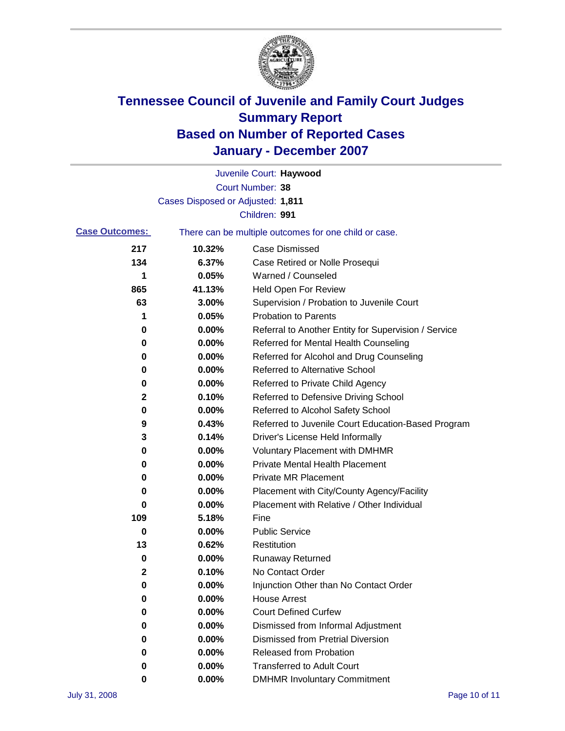

|                       |                                   | Juvenile Court: Haywood                               |
|-----------------------|-----------------------------------|-------------------------------------------------------|
|                       |                                   | <b>Court Number: 38</b>                               |
|                       | Cases Disposed or Adjusted: 1,811 |                                                       |
|                       |                                   | Children: 991                                         |
| <b>Case Outcomes:</b> |                                   | There can be multiple outcomes for one child or case. |
| 217                   | 10.32%                            | <b>Case Dismissed</b>                                 |
| 134                   | 6.37%                             | Case Retired or Nolle Prosequi                        |
| 1                     | 0.05%                             | Warned / Counseled                                    |
| 865                   | 41.13%                            | <b>Held Open For Review</b>                           |
| 63                    | 3.00%                             | Supervision / Probation to Juvenile Court             |
| 1                     | 0.05%                             | <b>Probation to Parents</b>                           |
| 0                     | 0.00%                             | Referral to Another Entity for Supervision / Service  |
| 0                     | 0.00%                             | Referred for Mental Health Counseling                 |
| 0                     | 0.00%                             | Referred for Alcohol and Drug Counseling              |
| 0                     | 0.00%                             | <b>Referred to Alternative School</b>                 |
| 0                     | 0.00%                             | Referred to Private Child Agency                      |
| 2                     | 0.10%                             | Referred to Defensive Driving School                  |
| 0                     | 0.00%                             | Referred to Alcohol Safety School                     |
| 9                     | 0.43%                             | Referred to Juvenile Court Education-Based Program    |
| 3                     | 0.14%                             | Driver's License Held Informally                      |
| 0                     | 0.00%                             | <b>Voluntary Placement with DMHMR</b>                 |
| 0                     | 0.00%                             | <b>Private Mental Health Placement</b>                |
| 0                     | 0.00%                             | Private MR Placement                                  |
| 0                     | 0.00%                             | Placement with City/County Agency/Facility            |
| 0                     | 0.00%                             | Placement with Relative / Other Individual            |
| 109                   | 5.18%                             | Fine                                                  |
| 0                     | 0.00%                             | <b>Public Service</b>                                 |
| 13                    | 0.62%                             | Restitution                                           |
| 0                     | 0.00%                             | <b>Runaway Returned</b>                               |
| 2                     | 0.10%                             | No Contact Order                                      |
| 0                     | 0.00%                             | Injunction Other than No Contact Order                |
| 0                     | 0.00%                             | <b>House Arrest</b>                                   |
| 0                     | $0.00\%$                          | <b>Court Defined Curfew</b>                           |
| 0                     | 0.00%                             | Dismissed from Informal Adjustment                    |
| 0                     | 0.00%                             | <b>Dismissed from Pretrial Diversion</b>              |
| 0                     | 0.00%                             | <b>Released from Probation</b>                        |
| 0                     | 0.00%                             | <b>Transferred to Adult Court</b>                     |
| 0                     | 0.00%                             | <b>DMHMR Involuntary Commitment</b>                   |